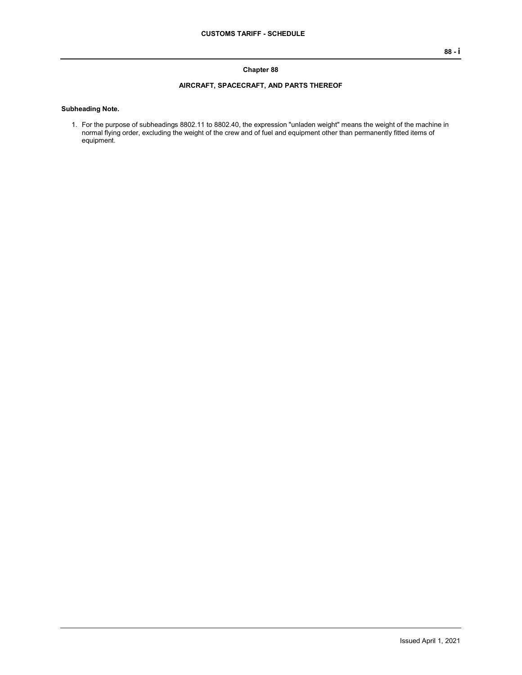## **Chapter 88**

## **AIRCRAFT, SPACECRAFT, AND PARTS THEREOF**

## **Subheading Note.**

1. For the purpose of subheadings 8802.11 to 8802.40, the expression "unladen weight" means the weight of the machine in normal flying order, excluding the weight of the crew and of fuel and equipment other than permanently fitted items of equipment.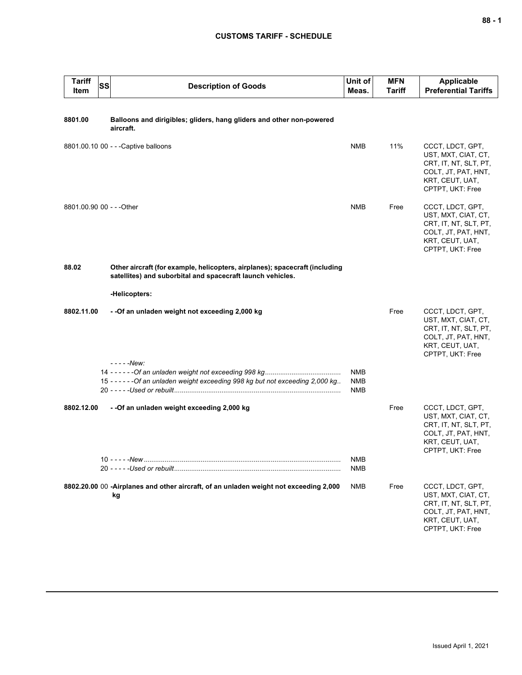## **CUSTOMS TARIFF - SCHEDULE**

|         | <b>Tariff</b><br>Item | SS | <b>Description of Goods</b>                                                                                                               | Unit of<br>Meas.  | <b>MFN</b><br><b>Tariff</b> | Applicable<br><b>Preferential Tariffs</b>                                                                                      |
|---------|-----------------------|----|-------------------------------------------------------------------------------------------------------------------------------------------|-------------------|-----------------------------|--------------------------------------------------------------------------------------------------------------------------------|
| 8801.00 |                       |    | Balloons and dirigibles; gliders, hang gliders and other non-powered<br>aircraft.                                                         |                   |                             |                                                                                                                                |
|         |                       |    | 8801.00.10 00 - - - Captive balloons                                                                                                      | <b>NMB</b>        | 11%                         | CCCT, LDCT, GPT,<br>UST, MXT, CIAT, CT,<br>CRT, IT, NT, SLT, PT,<br>COLT, JT, PAT, HNT,<br>KRT, CEUT, UAT,<br>CPTPT, UKT: Free |
|         |                       |    | 8801.00.90 00 - - - Other                                                                                                                 | <b>NMB</b>        | Free                        | CCCT, LDCT, GPT,<br>UST, MXT, CIAT, CT,<br>CRT, IT, NT, SLT, PT,<br>COLT, JT, PAT, HNT,<br>KRT, CEUT, UAT,<br>CPTPT, UKT: Free |
| 88.02   |                       |    | Other aircraft (for example, helicopters, airplanes); spacecraft (including<br>satellites) and suborbital and spacecraft launch vehicles. |                   |                             |                                                                                                                                |
|         |                       |    | -Helicopters:                                                                                                                             |                   |                             |                                                                                                                                |
|         | 8802.11.00            |    | - - Of an unladen weight not exceeding 2,000 kg<br>$---New:$                                                                              |                   | Free                        | CCCT, LDCT, GPT,<br>UST, MXT, CIAT, CT,<br>CRT, IT, NT, SLT, PT,<br>COLT, JT, PAT, HNT,<br>KRT, CEUT, UAT,<br>CPTPT, UKT: Free |
|         |                       |    | 15 - - - - - - Of an unladen weight exceeding 998 kg but not exceeding 2,000 kg                                                           | NMB<br>NMB<br>NMB |                             |                                                                                                                                |
|         | 8802.12.00            |    | --Of an unladen weight exceeding 2,000 kg                                                                                                 |                   | Free                        | CCCT, LDCT, GPT,<br>UST, MXT, CIAT, CT,<br>CRT, IT, NT, SLT, PT,<br>COLT, JT, PAT, HNT,<br>KRT, CEUT, UAT,<br>CPTPT, UKT: Free |
|         |                       |    |                                                                                                                                           | <b>NMB</b><br>NMB |                             |                                                                                                                                |
|         |                       |    | 8802.20.00 00 -Airplanes and other aircraft, of an unladen weight not exceeding 2,000<br>kg                                               | NMB               | Free                        | CCCT, LDCT, GPT,<br>UST, MXT, CIAT, CT,<br>CRT, IT, NT, SLT, PT,<br>COLT, JT, PAT, HNT,<br>KRT, CEUT, UAT,<br>CPTPT, UKT: Free |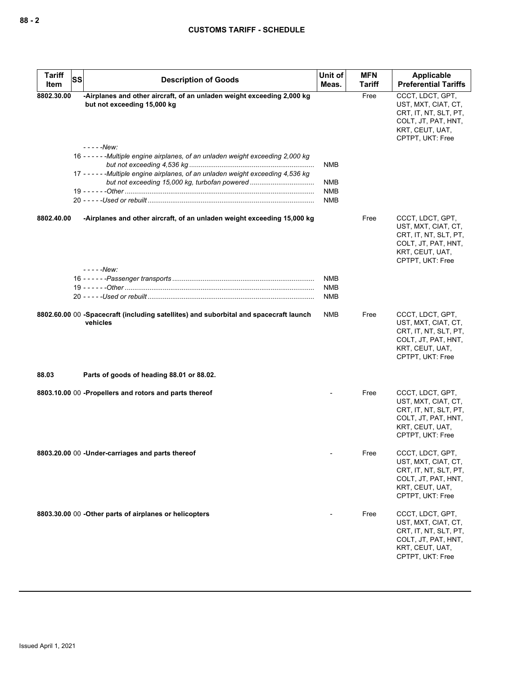| <b>Tariff</b><br>SS | <b>Description of Goods</b>                                                                                                                                        | Unit of                  | <b>MFN</b> | Applicable                                                                                                                     |
|---------------------|--------------------------------------------------------------------------------------------------------------------------------------------------------------------|--------------------------|------------|--------------------------------------------------------------------------------------------------------------------------------|
| Item                |                                                                                                                                                                    | Meas.                    | Tariff     | <b>Preferential Tariffs</b>                                                                                                    |
| 8802.30.00          | -Airplanes and other aircraft, of an unladen weight exceeding 2,000 kg<br>but not exceeding 15,000 kg                                                              |                          | Free       | CCCT. LDCT. GPT.<br>UST, MXT, CIAT, CT,<br>CRT, IT, NT, SLT, PT,<br>COLT, JT, PAT, HNT,<br>KRT, CEUT, UAT,<br>CPTPT, UKT: Free |
|                     | - - - - - New:                                                                                                                                                     |                          |            |                                                                                                                                |
|                     | 16 ----- - Multiple engine airplanes, of an unladen weight exceeding 2,000 kg<br>17 - - - - - - Multiple engine airplanes, of an unladen weight exceeding 4,536 kg | NMB                      |            |                                                                                                                                |
|                     |                                                                                                                                                                    | NMB                      |            |                                                                                                                                |
|                     |                                                                                                                                                                    | NMB                      |            |                                                                                                                                |
|                     |                                                                                                                                                                    | NMB                      |            |                                                                                                                                |
|                     |                                                                                                                                                                    |                          |            |                                                                                                                                |
| 8802.40.00          | -Airplanes and other aircraft, of an unladen weight exceeding 15,000 kg                                                                                            |                          | Free       | CCCT, LDCT, GPT,<br>UST, MXT, CIAT, CT,<br>CRT, IT, NT, SLT, PT,<br>COLT, JT, PAT, HNT,<br>KRT, CEUT, UAT,<br>CPTPT, UKT: Free |
|                     | -----New:                                                                                                                                                          |                          |            |                                                                                                                                |
|                     |                                                                                                                                                                    | <b>NMB</b><br><b>NMB</b> |            |                                                                                                                                |
|                     |                                                                                                                                                                    | <b>NMB</b>               |            |                                                                                                                                |
|                     |                                                                                                                                                                    |                          |            |                                                                                                                                |
|                     | 8802.60.00 00 -Spacecraft (including satellites) and suborbital and spacecraft launch<br>vehicles                                                                  | <b>NMB</b>               | Free       | CCCT, LDCT, GPT,<br>UST, MXT, CIAT, CT,<br>CRT, IT, NT, SLT, PT,<br>COLT, JT, PAT, HNT,<br>KRT, CEUT, UAT,<br>CPTPT, UKT: Free |
| 88.03               | Parts of goods of heading 88.01 or 88.02.                                                                                                                          |                          |            |                                                                                                                                |
|                     | 8803.10.00 00 -Propellers and rotors and parts thereof                                                                                                             |                          | Free       | CCCT, LDCT, GPT,<br>UST, MXT, CIAT, CT,<br>CRT, IT, NT, SLT, PT,<br>COLT, JT, PAT, HNT,<br>KRT, CEUT, UAT,<br>CPTPT, UKT: Free |
|                     | 8803.20.00 00 -Under-carriages and parts thereof                                                                                                                   |                          | Free       | CCCT, LDCT, GPT,<br>UST, MXT, CIAT, CT,<br>CRT, IT, NT, SLT, PT,<br>COLT, JT, PAT, HNT,<br>KRT, CEUT, UAT,<br>CPTPT, UKT: Free |
|                     | 8803.30.00 00 - Other parts of airplanes or helicopters                                                                                                            |                          | Free       | CCCT, LDCT, GPT,<br>UST, MXT, CIAT, CT,<br>CRT, IT, NT, SLT, PT,<br>COLT, JT, PAT, HNT,<br>KRT, CEUT, UAT,<br>CPTPT, UKT: Free |